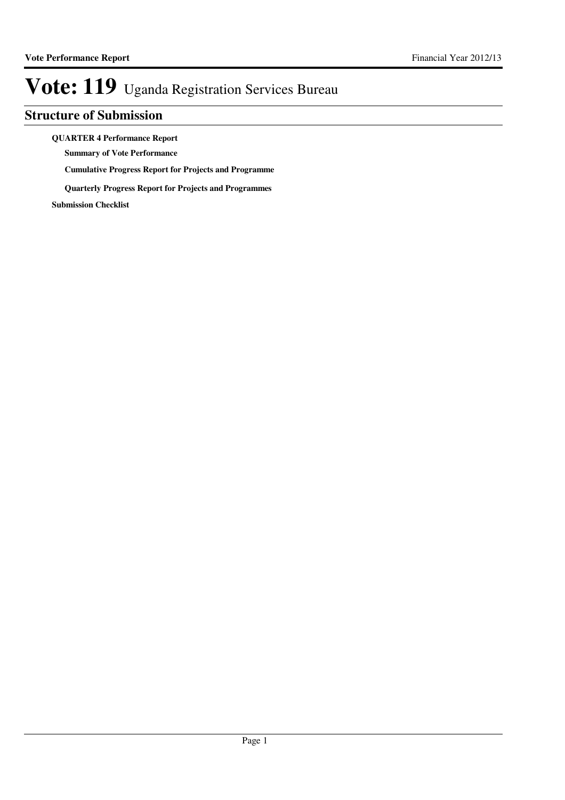## **Structure of Submission**

**QUARTER 4 Performance Report**

**Summary of Vote Performance**

**Cumulative Progress Report for Projects and Programme**

**Quarterly Progress Report for Projects and Programmes**

**Submission Checklist**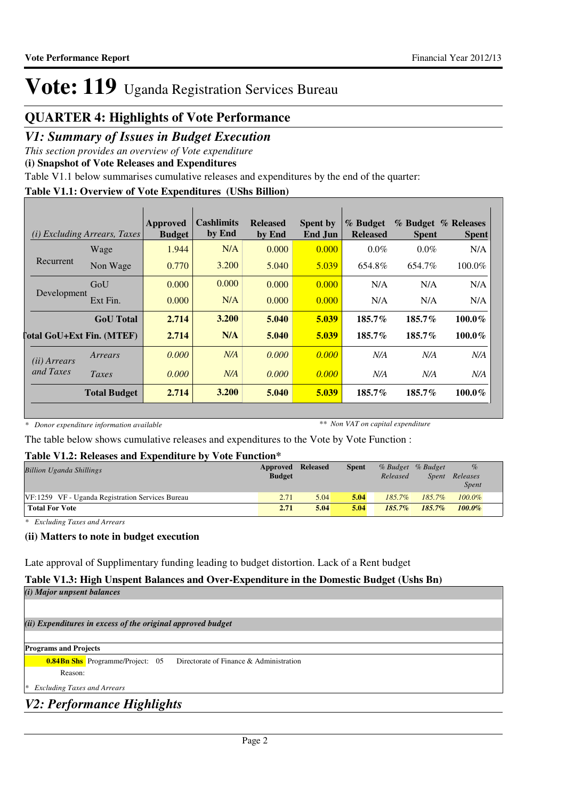## **QUARTER 4: Highlights of Vote Performance**

### *V1: Summary of Issues in Budget Execution*

*This section provides an overview of Vote expenditure*

**(i) Snapshot of Vote Releases and Expenditures**

Table V1.1 below summarises cumulative releases and expenditures by the end of the quarter:

### **Table V1.1: Overview of Vote Expenditures (UShs Billion)**

| (i)                              | <i>Excluding Arrears, Taxes</i> | Approved<br><b>Budget</b> | <b>Cashlimits</b><br>by End | <b>Released</b><br>by End | <b>Spent by</b><br>End Jun | % Budget<br><b>Released</b> | <b>Spent</b> | % Budget % Releases<br><b>Spent</b> |
|----------------------------------|---------------------------------|---------------------------|-----------------------------|---------------------------|----------------------------|-----------------------------|--------------|-------------------------------------|
|                                  | Wage                            | 1.944                     | N/A                         | 0.000                     | 0.000                      | $0.0\%$                     | $0.0\%$      | N/A                                 |
| Recurrent                        | Non Wage                        | 0.770                     | 3.200                       | 5.040                     | 5.039                      | 654.8%                      | 654.7%       | 100.0%                              |
|                                  | GoU                             | 0.000                     | 0.000                       | 0.000                     | 0.000                      | N/A                         | N/A          | N/A                                 |
| Development                      | Ext Fin.                        | 0.000                     | N/A                         | 0.000                     | 0.000                      | N/A                         | N/A          | N/A                                 |
|                                  | <b>GoU</b> Total                | 2.714                     | 3.200                       | 5.040                     | 5.039                      | $185.7\%$                   | $185.7\%$    | $100.0\%$                           |
| <b>Total GoU+Ext Fin. (MTEF)</b> |                                 | 2.714                     | N/A                         | 5.040                     | 5.039                      | 185.7%                      | 185.7%       | $100.0\%$                           |
| ( <i>ii</i> ) Arrears            | Arrears                         | 0.000                     | N/A                         | 0.000                     | 0.000                      | N/A                         | N/A          | N/A                                 |
| and Taxes                        | Taxes                           | 0.000                     | N/A                         | 0.000                     | 0.000                      | N/A                         | N/A          | N/A                                 |
|                                  | <b>Total Budget</b>             | 2.714                     | 3.200                       | 5.040                     | 5.039                      | 185.7%                      | 185.7%       | $100.0\%$                           |

*\* Donor expenditure information available*

*\*\* Non VAT on capital expenditure*

The table below shows cumulative releases and expenditures to the Vote by Vote Function :

### **Table V1.2: Releases and Expenditure by Vote Function\***

| <b>Billion Uganda Shillings</b>                   | Approved Released<br><b>Budget</b> |      | <b>Spent</b> | Released  | % Budget % Budget | $\%$<br>Spent Releases<br><i>Spent</i> |  |
|---------------------------------------------------|------------------------------------|------|--------------|-----------|-------------------|----------------------------------------|--|
| VF: 1259 VF - Uganda Registration Services Bureau | 2.71                               | 5.04 | 5.04         | 185.7%    | 185.7%            | $100.0\%$                              |  |
| <b>Total For Vote</b>                             | 2.71                               | 5.04 | 5.04         | $185.7\%$ | $185.7\%$         | $100.0\%$                              |  |

*\* Excluding Taxes and Arrears*

### **(ii) Matters to note in budget execution**

Late approval of Supplimentary funding leading to budget distortion. Lack of a Rent budget

## **Table V1.3: High Unspent Balances and Over-Expenditure in the Domestic Budget (Ushs Bn)**

*(i) Major unpsent balances*

*(ii) Expenditures in excess of the original approved budget*

### **Programs and Projects**

**0.84Bn Shs** Programme/Project: 05 Directorate of Finance & Administration

Reason:

*\* Excluding Taxes and Arrears*

## *V2: Performance Highlights*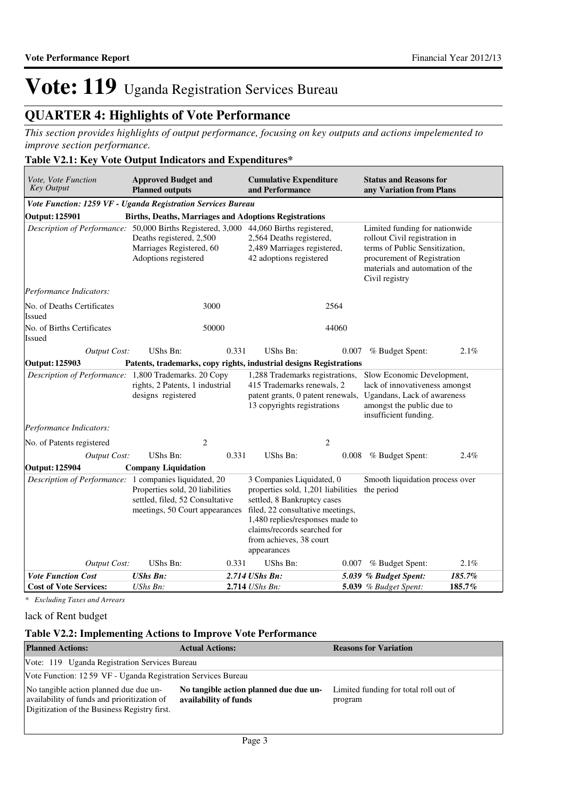## **QUARTER 4: Highlights of Vote Performance**

*This section provides highlights of output performance, focusing on key outputs and actions impelemented to improve section performance.*

### **Table V2.1: Key Vote Output Indicators and Expenditures\***

| Vote, Vote Function<br><b>Key Output</b>                                              | <b>Approved Budget and</b><br><b>Planned outputs</b>                                                 |       | <b>Cumulative Expenditure</b><br>and Performance                                                                                                                                                                                               |       | <b>Status and Reasons for</b><br>any Variation from Plans                                                                                         |        |                                                                                                                                                                                       |  |
|---------------------------------------------------------------------------------------|------------------------------------------------------------------------------------------------------|-------|------------------------------------------------------------------------------------------------------------------------------------------------------------------------------------------------------------------------------------------------|-------|---------------------------------------------------------------------------------------------------------------------------------------------------|--------|---------------------------------------------------------------------------------------------------------------------------------------------------------------------------------------|--|
| Vote Function: 1259 VF - Uganda Registration Services Bureau                          |                                                                                                      |       |                                                                                                                                                                                                                                                |       |                                                                                                                                                   |        |                                                                                                                                                                                       |  |
| <b>Output: 125901</b>                                                                 | <b>Births, Deaths, Marriages and Adoptions Registrations</b>                                         |       |                                                                                                                                                                                                                                                |       |                                                                                                                                                   |        |                                                                                                                                                                                       |  |
| Description of Performance: 50,000 Births Registered, 3,000 44,060 Births registered, | Deaths registered, 2,500<br>Marriages Registered, 60<br>Adoptions registered                         |       | 2,564 Deaths registered,<br>2,489 Marriages registered,<br>42 adoptions registered                                                                                                                                                             |       |                                                                                                                                                   |        | Limited funding for nationwide<br>rollout Civil registration in<br>terms of Public Sensitization,<br>procurement of Registration<br>materials and automation of the<br>Civil registry |  |
| Performance Indicators:                                                               |                                                                                                      |       |                                                                                                                                                                                                                                                |       |                                                                                                                                                   |        |                                                                                                                                                                                       |  |
| No. of Deaths Certificates<br>Issued                                                  | 3000                                                                                                 |       | 2564                                                                                                                                                                                                                                           |       |                                                                                                                                                   |        |                                                                                                                                                                                       |  |
| No. of Births Certificates<br>Issued                                                  | 50000                                                                                                |       | 44060                                                                                                                                                                                                                                          |       |                                                                                                                                                   |        |                                                                                                                                                                                       |  |
| <b>Output Cost:</b>                                                                   | <b>UShs Bn:</b>                                                                                      | 0.331 | <b>UShs Bn:</b>                                                                                                                                                                                                                                | 0.007 | % Budget Spent:                                                                                                                                   | 2.1%   |                                                                                                                                                                                       |  |
| Output: 125903                                                                        |                                                                                                      |       | Patents, trademarks, copy rights, industrial designs Registrations                                                                                                                                                                             |       |                                                                                                                                                   |        |                                                                                                                                                                                       |  |
| Description of Performance: 1,800 Trademarks. 20 Copy                                 | rights, 2 Patents, 1 industrial<br>designs registered                                                |       | 1,288 Trademarks registrations,<br>415 Trademarks renewals, 2<br>patent grants, 0 patent renewals,<br>13 copyrights registrations                                                                                                              |       | Slow Economic Development,<br>lack of innovativeness amongst<br>Ugandans, Lack of awareness<br>amongst the public due to<br>insufficient funding. |        |                                                                                                                                                                                       |  |
| Performance Indicators:                                                               |                                                                                                      |       |                                                                                                                                                                                                                                                |       |                                                                                                                                                   |        |                                                                                                                                                                                       |  |
| No. of Patents registered                                                             | $\overline{2}$                                                                                       |       | $\overline{c}$                                                                                                                                                                                                                                 |       |                                                                                                                                                   |        |                                                                                                                                                                                       |  |
| <b>Output Cost:</b>                                                                   | <b>UShs Bn:</b>                                                                                      | 0.331 | UShs Bn:                                                                                                                                                                                                                                       | 0.008 | % Budget Spent:                                                                                                                                   | 2.4%   |                                                                                                                                                                                       |  |
| <b>Output: 125904</b>                                                                 | <b>Company Liquidation</b>                                                                           |       |                                                                                                                                                                                                                                                |       |                                                                                                                                                   |        |                                                                                                                                                                                       |  |
| Description of Performance: 1 companies liquidated, 20                                | Properties sold, 20 liabilities<br>settled, filed, 52 Consultative<br>meetings, 50 Court appearances |       | 3 Companies Liquidated, 0<br>properties sold, 1,201 liabilities<br>settled, 8 Bankruptcy cases<br>filed, 22 consultative meetings,<br>1,480 replies/responses made to<br>claims/records searched for<br>from achieves, 38 court<br>appearances |       | Smooth liquidation process over<br>the period                                                                                                     |        |                                                                                                                                                                                       |  |
| Output Cost:                                                                          | UShs Bn:                                                                                             | 0.331 | <b>UShs Bn:</b>                                                                                                                                                                                                                                | 0.007 | % Budget Spent:                                                                                                                                   | 2.1%   |                                                                                                                                                                                       |  |
| <b>Vote Function Cost</b>                                                             | <b>UShs Bn:</b>                                                                                      |       | 2.714 UShs Bn:                                                                                                                                                                                                                                 |       | 5.039 % Budget Spent:                                                                                                                             | 185.7% |                                                                                                                                                                                       |  |
| <b>Cost of Vote Services:</b>                                                         | UShs Bn:                                                                                             |       | 2.714 UShs Bn:                                                                                                                                                                                                                                 |       | <b>5.039</b> % Budget Spent:                                                                                                                      | 185.7% |                                                                                                                                                                                       |  |

*\* Excluding Taxes and Arrears*

lack of Rent budget

### **Table V2.2: Implementing Actions to Improve Vote Performance**

| <b>Planned Actions:</b>                                                                                                               | <b>Actual Actions:</b>                                          | <b>Reasons for Variation</b>                     |  |  |  |  |
|---------------------------------------------------------------------------------------------------------------------------------------|-----------------------------------------------------------------|--------------------------------------------------|--|--|--|--|
| Vote: 119 Uganda Registration Services Bureau                                                                                         |                                                                 |                                                  |  |  |  |  |
| Vote Function: 12.59 VF - Uganda Registration Services Bureau                                                                         |                                                                 |                                                  |  |  |  |  |
| No tangible action planned due due un-<br>availability of funds and prioritization of<br>Digitization of the Business Registry first. | No tangible action planned due due un-<br>availability of funds | Limited funding for total roll out of<br>program |  |  |  |  |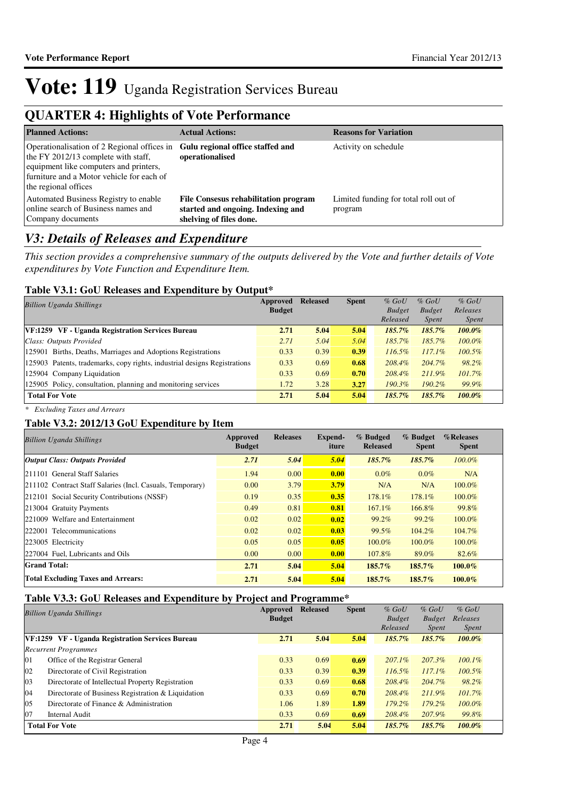## **QUARTER 4: Highlights of Vote Performance**

| <b>Planned Actions:</b>                                                                                                                                                                           | <b>Actual Actions:</b>                                                                               | <b>Reasons for Variation</b>                     |
|---------------------------------------------------------------------------------------------------------------------------------------------------------------------------------------------------|------------------------------------------------------------------------------------------------------|--------------------------------------------------|
| Operationalisation of 2 Regional offices in<br>the FY 2012/13 complete with staff,<br>equipment like computers and printers,<br>furniture and a Motor vehicle for each of<br>the regional offices | Gulu regional office staffed and<br>operationalised                                                  | Activity on schedule                             |
| Automated Business Registry to enable<br>online search of Business names and<br>Company documents                                                                                                 | File Consesus rehabilitation program<br>started and ongoing. Indexing and<br>shelving of files done. | Limited funding for total roll out of<br>program |

### *V3: Details of Releases and Expenditure*

*This section provides a comprehensive summary of the outputs delivered by the Vote and further details of Vote expenditures by Vote Function and Expenditure Item.*

### **Table V3.1: GoU Releases and Expenditure by Output\***

| <b>Billion Uganda Shillings</b>                                           | Approved      | <b>Released</b> | <b>Spent</b> | $%$ GoU       | $%$ GoU       | $%$ GoU      |
|---------------------------------------------------------------------------|---------------|-----------------|--------------|---------------|---------------|--------------|
|                                                                           | <b>Budget</b> |                 |              | <b>Budget</b> | <b>Budget</b> | Releases     |
|                                                                           |               |                 |              | Released      | <i>Spent</i>  | <i>Spent</i> |
| VF:1259 VF - Uganda Registration Services Bureau                          | 2.71          | 5.04            | 5.04         | $185.7\%$     | 185.7%        | $100.0\%$    |
| Class: Outputs Provided                                                   | 2.71          | 5.04            | 5.04         | 185.7%        | 185.7%        | $100.0\%$    |
| 125901 Births, Deaths, Marriages and Adoptions Registrations              | 0.33          | 0.39            | 0.39         | $116.5\%$     | $117.1\%$     | $100.5\%$    |
| 125903 Patents, trademarks, copy rights, industrial designs Registrations | 0.33          | 0.69            | 0.68         | 208.4%        | 204.7%        | 98.2%        |
| 125904 Company Liquidation                                                | 0.33          | 0.69            | 0.70         | $208.4\%$     | $211.9\%$     | $101.7\%$    |
| 125905 Policy, consultation, planning and monitoring services             | 1.72          | 3.28            | 3.27         | $190.3\%$     | $190.2\%$     | 99.9%        |
| <b>Total For Vote</b>                                                     | 2.71          | 5.04            | 5.04         | $185.7\%$     | $185.7\%$     | $100.0\%$    |

*\* Excluding Taxes and Arrears*

### **Table V3.2: 2012/13 GoU Expenditure by Item**

| <b>Billion Uganda Shillings</b>                           | Approved<br><b>Budget</b> | <b>Releases</b> | Expend-<br>iture | % Budged<br><b>Released</b> | $%$ Budget<br><b>Spent</b> | %Releases<br><b>Spent</b> |
|-----------------------------------------------------------|---------------------------|-----------------|------------------|-----------------------------|----------------------------|---------------------------|
| <b>Output Class: Outputs Provided</b>                     | 2.71                      | 5.04            | 5.04             | $185.7\%$                   | 185.7%                     | $100.0\%$                 |
| 211101 General Staff Salaries                             | 1.94                      | 0.00            | 0.00             | $0.0\%$                     | $0.0\%$                    | N/A                       |
| 211102 Contract Staff Salaries (Incl. Casuals, Temporary) | 0.00                      | 3.79            | 3.79             | N/A                         | N/A                        | 100.0%                    |
| 212101 Social Security Contributions (NSSF)               | 0.19                      | 0.35            | 0.35             | 178.1%                      | 178.1%                     | $100.0\%$                 |
| 213004 Gratuity Payments                                  | 0.49                      | 0.81            | 0.81             | 167.1%                      | 166.8%                     | 99.8%                     |
| 221009 Welfare and Entertainment                          | 0.02                      | 0.02            | 0.02             | 99.2%                       | 99.2%                      | 100.0%                    |
| 222001 Telecommunications                                 | 0.02                      | 0.02            | 0.03             | 99.5%                       | 104.2%                     | 104.7%                    |
| 223005 Electricity                                        | 0.05                      | 0.05            | 0.05             | 100.0%                      | 100.0%                     | $100.0\%$                 |
| 227004 Fuel, Lubricants and Oils                          | 0.00                      | 0.00            | 0.00             | 107.8%                      | 89.0%                      | 82.6%                     |
| <b>Grand Total:</b>                                       | 2.71                      | 5.04            | 5.04             | 185.7%                      | 185.7%                     | 100.0%                    |
| <b>Total Excluding Taxes and Arrears:</b>                 | 2.71                      | 5.04            | 5.04             | 185.7%                      | $185.7\%$                  | $100.0\%$                 |

### **Table V3.3: GoU Releases and Expenditure by Project and Programme\***

|    | <b>Billion Uganda Shillings</b>                    | Approved      | <b>Released</b> | <b>Spent</b> | $%$ GoU       | $%$ GoU       | $%$ GoU      |
|----|----------------------------------------------------|---------------|-----------------|--------------|---------------|---------------|--------------|
|    |                                                    | <b>Budget</b> |                 |              | <b>Budget</b> | <b>Budget</b> | Releases     |
|    |                                                    |               |                 |              | Released      | <i>Spent</i>  | <i>Spent</i> |
|    | VF:1259 VF - Uganda Registration Services Bureau   | 2.71          | 5.04            | 5.04         | 185.7%        | $185.7\%$     | $100.0\%$    |
|    | <b>Recurrent Programmes</b>                        |               |                 |              |               |               |              |
| 01 | Office of the Registrar General                    | 0.33          | 0.69            | 0.69         | $207.1\%$     | $207.3\%$     | $100.1\%$    |
| 02 | Directorate of Civil Registration                  | 0.33          | 0.39            | 0.39         | $116.5\%$     | $117.1\%$     | $100.5\%$    |
| 03 | Directorate of Intellectual Property Registration  | 0.33          | 0.69            | 0.68         | 208.4%        | 204.7%        | 98.2%        |
| 04 | Directorate of Business Registration & Liquidation | 0.33          | 0.69            | 0.70         | 208.4%        | $211.9\%$     | $101.7\%$    |
| 05 | Directorate of Finance & Administration            | 1.06          | 1.89            | 1.89         | $179.2\%$     | 179.2%        | $100.0\%$    |
| 07 | Internal Audit                                     | 0.33          | 0.69            | 0.69         | 208.4%        | 207.9%        | 99.8%        |
|    | <b>Total For Vote</b>                              | 2.71          | 5.04            | 5.04         | 185.7%        | 185.7%        | 100.0%       |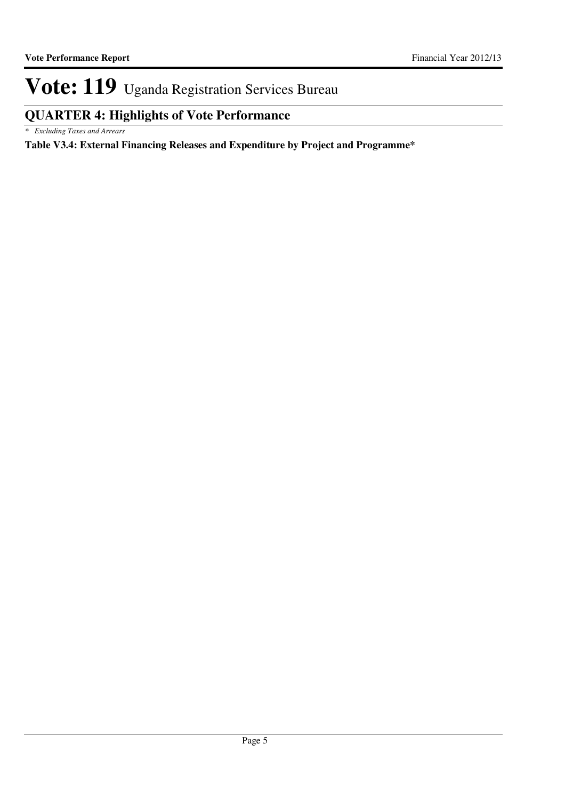# **QUARTER 4: Highlights of Vote Performance**

*\* Excluding Taxes and Arrears*

**Table V3.4: External Financing Releases and Expenditure by Project and Programme\***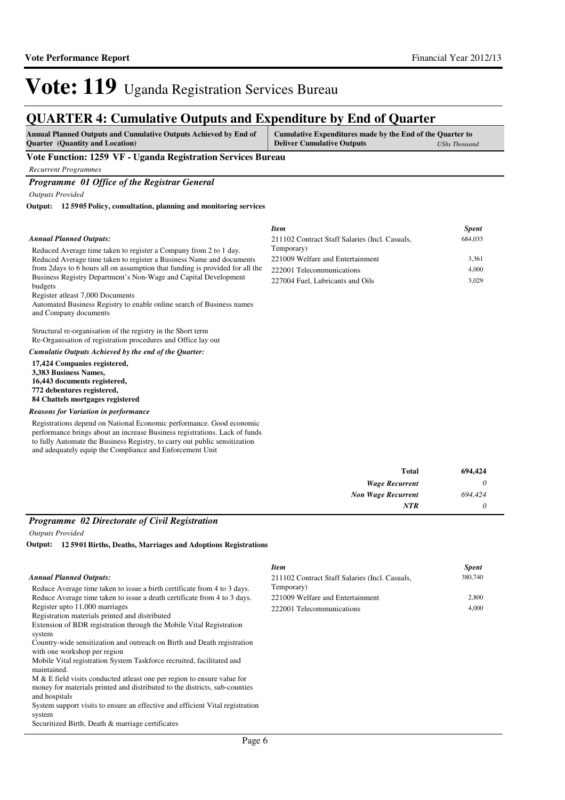684,033

# Vote: 119 Uganda Registration Services Bureau

## **QUARTER 4: Cumulative Outputs and Expenditure by End of Quarter**

| <b>Annual Planned Outputs and Cumulative Outputs Achieved by End of</b> | Cumulative Expenditures made by the End of the Quarter to |               |  |
|-------------------------------------------------------------------------|-----------------------------------------------------------|---------------|--|
| <b>Quarter</b> (Quantity and Location)                                  | <b>Deliver Cumulative Outputs</b>                         | UShs Thousand |  |

**Vote Function: 1259 VF - Uganda Registration Services Bureau**

*Recurrent Programmes*

*Programme 01 Office of the Registrar General*

*Outputs Provided*

**12 5905 Policy, consultation, planning and monitoring services Output:**

#### *Annual Planned Outputs:*

Reduced Average time taken to register a Company from 2 to 1 day. Reduced Average time taken to register a Business Name and documents from 2days to 6 hours all on assumption that funding is provided for all the Business Registry Department's Non-Wage and Capital Development budgets

Register atleast 7,000 Documents

Automated Business Registry to enable online search of Business names and Company documents

Structural re-organisation of the registry in the Short term Re-Organisation of registration procedures and Office lay out

*Cumulatie Outputs Achieved by the end of the Quarter:*

**17,424 Companies registered, 3,383 Business Names, 16,443 documents registered, 772 debentures registered, 84 Chattels mortgages registered**

*Reasons for Variation in performance*

Registrations depend on National Economic performance. Good economic performance brings about an increase Business registrations. Lack of funds to fully Automate the Business Registry, to carry out public sensitization and adequately equip the Compliance and Enforcement Unit

| 211102 Contract Staff Salaries (Incl. Casuals, | 684,033 |
|------------------------------------------------|---------|
| Temporary)                                     |         |
| 221009 Welfare and Entertainment               | 3.361   |
| 222001 Telecommunications                      | 4.000   |
| 227004 Fuel, Lubricants and Oils               | 3.029   |
|                                                |         |

*Item Spent*

| <b>Total</b>              | 694,424  |
|---------------------------|----------|
| <b>Wage Recurrent</b>     | 0        |
| <b>Non Wage Recurrent</b> | 694,424  |
| <b>NTR</b>                | $\Omega$ |

### *Programme 02 Directorate of Civil Registration*

*Outputs Provided*

**12 5901 Births, Deaths, Marriages and Adoptions Registrations Output:**

|                                                                               | <b>Item</b>                                    | <b>Spent</b> |
|-------------------------------------------------------------------------------|------------------------------------------------|--------------|
| Annual Planned Outputs:                                                       | 211102 Contract Staff Salaries (Incl. Casuals, | 380,740      |
| Reduce Average time taken to issue a birth certificate from 4 to 3 days.      | Temporary)                                     |              |
| Reduce Average time taken to issue a death certificate from 4 to 3 days.      | 221009 Welfare and Entertainment               | 2,800        |
| Register upto 11,000 marriages                                                | 222001 Telecommunications                      | 4.000        |
| Registration materials printed and distributed                                |                                                |              |
| Extension of BDR registration through the Mobile Vital Registration           |                                                |              |
| system                                                                        |                                                |              |
| Country-wide sensitization and outreach on Birth and Death registration       |                                                |              |
| with one workshop per region                                                  |                                                |              |
| Mobile Vital registration System Taskforce recruited, facilitated and         |                                                |              |
| maintained.                                                                   |                                                |              |
| M & E field visits conducted at least one per region to ensure value for      |                                                |              |
| money for materials printed and distributed to the districts, sub-counties    |                                                |              |
| and hospitals                                                                 |                                                |              |
| System support visits to ensure an effective and efficient Vital registration |                                                |              |
| system                                                                        |                                                |              |
| Securitized Birth, Death & marriage certificates                              |                                                |              |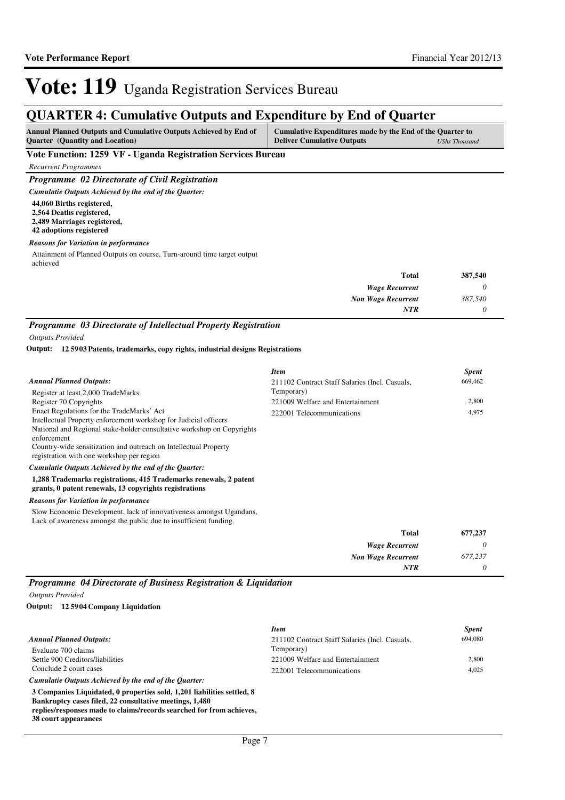# **QUARTER 4: Cumulative Outputs and Expenditure by End of Quarter**

| <b>Annual Planned Outputs and Cumulative Outputs Achieved by End of</b> | Cumulative Expenditures made by the End of the Quarter to |                      |
|-------------------------------------------------------------------------|-----------------------------------------------------------|----------------------|
| <b>Ouarter</b> (Quantity and Location)                                  | <b>Deliver Cumulative Outputs</b>                         | <b>UShs Thousand</b> |

**Vote Function: 1259 VF - Uganda Registration Services Bureau**

*Recurrent Programmes*

*Programme 02 Directorate of Civil Registration*

**44,060 Births registered, 2,564 Deaths registered,** *Cumulatie Outputs Achieved by the end of the Quarter:*

**2,489 Marriages registered,**

**42 adoptions registered**

#### *Reasons for Variation in performance*

Attainment of Planned Outputs on course, Turn-around time target output achieved

| <b>Total</b>              | 387,540 |
|---------------------------|---------|
| <b>Wage Recurrent</b>     | 0       |
| <b>Non Wage Recurrent</b> | 387,540 |
| <b>NTR</b>                | 0       |

## *Programme 03 Directorate of Intellectual Property Registration*

*Outputs Provided*

### **12 5903 Patents, trademarks, copy rights, industrial designs Registrations Output:**

|                                                                                                                                                                                                                                                                            | Item                                           | <i>Spent</i> |
|----------------------------------------------------------------------------------------------------------------------------------------------------------------------------------------------------------------------------------------------------------------------------|------------------------------------------------|--------------|
| <b>Annual Planned Outputs:</b>                                                                                                                                                                                                                                             | 211102 Contract Staff Salaries (Incl. Casuals, | 669,462      |
| Register at least 2,000 TradeMarks                                                                                                                                                                                                                                         | Temporary)                                     |              |
| Register 70 Copyrights                                                                                                                                                                                                                                                     | 221009 Welfare and Entertainment               | 2,800        |
| Enact Regulations for the TradeMarks' Act<br>Intellectual Property enforcement workshop for Judicial officers<br>National and Regional stake-holder consultative workshop on Copyrights<br>enforcement<br>Country-wide sensitization and outreach on Intellectual Property | 222001 Telecommunications                      | 4,975        |
| registration with one workshop per region<br>Cumulatie Outputs Achieved by the end of the Ouarter:                                                                                                                                                                         |                                                |              |
|                                                                                                                                                                                                                                                                            |                                                |              |
| 1,288 Trademarks registrations, 415 Trademarks renewals, 2 patent<br>grants, 0 patent renewals, 13 copyrights registrations                                                                                                                                                |                                                |              |
| <b>Reasons for Variation in performance</b>                                                                                                                                                                                                                                |                                                |              |
| Slow Economic Development, lack of innovativeness amongst Ugandans,<br>Lack of awareness amongst the public due to insufficient funding.                                                                                                                                   |                                                |              |
|                                                                                                                                                                                                                                                                            | <b>COLLANS</b>                                 | 755 A 25     |

| 677,237 | <b>Total</b>              |
|---------|---------------------------|
|         | <b>Wage Recurrent</b>     |
| 677,237 | <b>Non Wage Recurrent</b> |
|         | <b>NTR</b>                |

*Programme 04 Directorate of Business Registration & Liquidation*

### *Outputs Provided*

**38 court appearances**

**12 5904 Company Liquidation Output:**

|                                                                         | <b>Item</b>                                    | <b>Spent</b> |
|-------------------------------------------------------------------------|------------------------------------------------|--------------|
| <b>Annual Planned Outputs:</b>                                          | 211102 Contract Staff Salaries (Incl. Casuals, | 694.080      |
| Evaluate 700 claims                                                     | Temporary)                                     |              |
| Settle 900 Creditors/liabilities                                        | 221009 Welfare and Entertainment               | 2.800        |
| Conclude 2 court cases                                                  | 222001 Telecommunications                      | 4.025        |
| Cumulatie Outputs Achieved by the end of the Ouarter:                   |                                                |              |
| 3 Companies Liquidated, 0 properties sold, 1,201 liabilities settled, 8 |                                                |              |
| Bankruptcy cases filed, 22 consultative meetings, 1,480                 |                                                |              |
| replies/responses made to claims/records searched for from achieves.    |                                                |              |

Page 7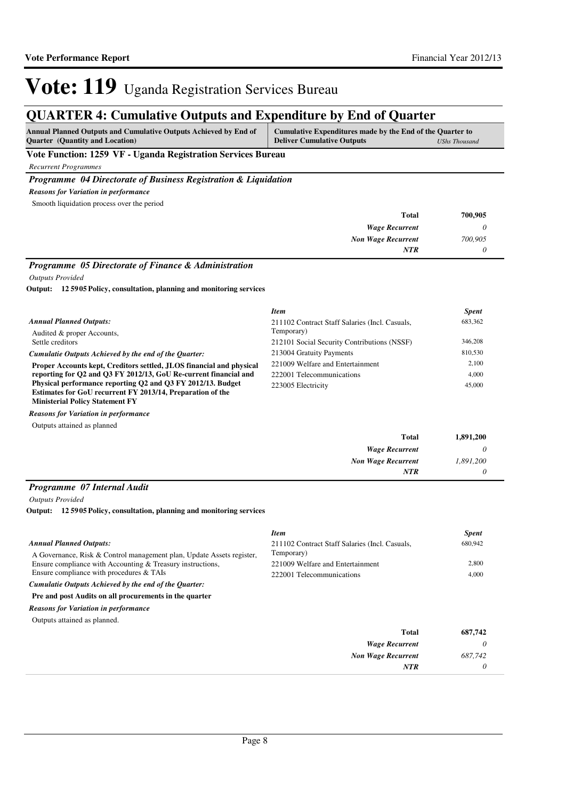# **QUARTER 4: Cumulative Outputs and Expenditure by End of Quarter**

| <b>Annual Planned Outputs and Cumulative Outputs Achieved by End of</b>                                                                                                                                                                                                                                                                                                                                       | Cumulative Expenditures made by the End of the Quarter to |  |
|---------------------------------------------------------------------------------------------------------------------------------------------------------------------------------------------------------------------------------------------------------------------------------------------------------------------------------------------------------------------------------------------------------------|-----------------------------------------------------------|--|
| <b>Ouarter</b> (Quantity and Location)                                                                                                                                                                                                                                                                                                                                                                        | <b>Deliver Cumulative Outputs</b><br>UShs Thousand        |  |
| <b>TT . TT</b><br>$\overline{A}$ $\overline{B}$ $\overline{C}$ $\overline{C}$ $\overline{C}$ $\overline{C}$ $\overline{C}$ $\overline{C}$ $\overline{C}$ $\overline{C}$ $\overline{C}$ $\overline{C}$ $\overline{C}$ $\overline{C}$ $\overline{C}$ $\overline{C}$ $\overline{C}$ $\overline{C}$ $\overline{C}$ $\overline{C}$ $\overline{C}$ $\overline{C}$ $\overline{C}$ $\overline{C}$ $\overline{$<br>. . |                                                           |  |

**Vote Function: 1259 VF - Uganda Registration Services Bureau**

*Recurrent Programmes*

### *Programme 04 Directorate of Business Registration & Liquidation*

*Reasons for Variation in performance*

Smooth liquidation process over the period

| <b>Total</b>              | 700,905 |
|---------------------------|---------|
| <b>Wage Recurrent</b>     |         |
| <b>Non Wage Recurrent</b> | 700,905 |
| NTR                       |         |

### *Programme 05 Directorate of Finance & Administration*

*Outputs Provided*

**12 5905 Policy, consultation, planning and monitoring services Output:**

|                                                                      | <b>Item</b>                                    | <b>Spent</b> |
|----------------------------------------------------------------------|------------------------------------------------|--------------|
| <b>Annual Planned Outputs:</b>                                       | 211102 Contract Staff Salaries (Incl. Casuals, | 683,362      |
| Audited & proper Accounts,                                           | Temporary)                                     |              |
| Settle creditors                                                     | 212101 Social Security Contributions (NSSF)    | 346,208      |
| Cumulatie Outputs Achieved by the end of the Ouarter:                | 213004 Gratuity Payments                       | 810,530      |
| Proper Accounts kept, Creditors settled, JLOS financial and physical | 221009 Welfare and Entertainment               | 2.100        |
| reporting for O2 and O3 FY 2012/13, GoU Re-current financial and     | 222001 Telecommunications                      | 4,000        |
| Physical performance reporting Q2 and Q3 FY 2012/13. Budget          | 223005 Electricity                             | 45,000       |
| Estimates for GoU recurrent FY 2013/14, Preparation of the           |                                                |              |
| <b>Ministerial Policy Statement FY</b>                               |                                                |              |
| <b>Reasons for Variation in performance</b>                          |                                                |              |

Outputs attained as planned

| 1,891,200 | Total                     |
|-----------|---------------------------|
|           | <b>Wage Recurrent</b>     |
| 1,891,200 | <b>Non Wage Recurrent</b> |
| 0         | <b>NTR</b>                |

### *Programme 07 Internal Audit*

*Outputs Provided*

**12 5905 Policy, consultation, planning and monitoring services Output:**

|                                                                       | <b>Item</b>                                    | <b>Spent</b> |
|-----------------------------------------------------------------------|------------------------------------------------|--------------|
| <b>Annual Planned Outputs:</b>                                        | 211102 Contract Staff Salaries (Incl. Casuals, | 680,942      |
| A Governance, Risk & Control management plan, Update Assets register, | Temporary)                                     |              |
| Ensure compliance with Accounting & Treasury instructions,            | 221009 Welfare and Entertainment               | 2,800        |
| Ensure compliance with procedures & TAIs                              | 222001 Telecommunications                      | 4,000        |
| Cumulatie Outputs Achieved by the end of the Quarter:                 |                                                |              |
| Pre and post Audits on all procurements in the quarter                |                                                |              |
| <b>Reasons for Variation in performance</b>                           |                                                |              |
| Outputs attained as planned.                                          |                                                |              |
|                                                                       | <b>Total</b>                                   | 687,742      |
|                                                                       | <b>Wage Recurrent</b>                          | 0            |
|                                                                       | <b>Non Wage Recurrent</b>                      | 687.742      |
|                                                                       | <b>NTR</b>                                     | 0            |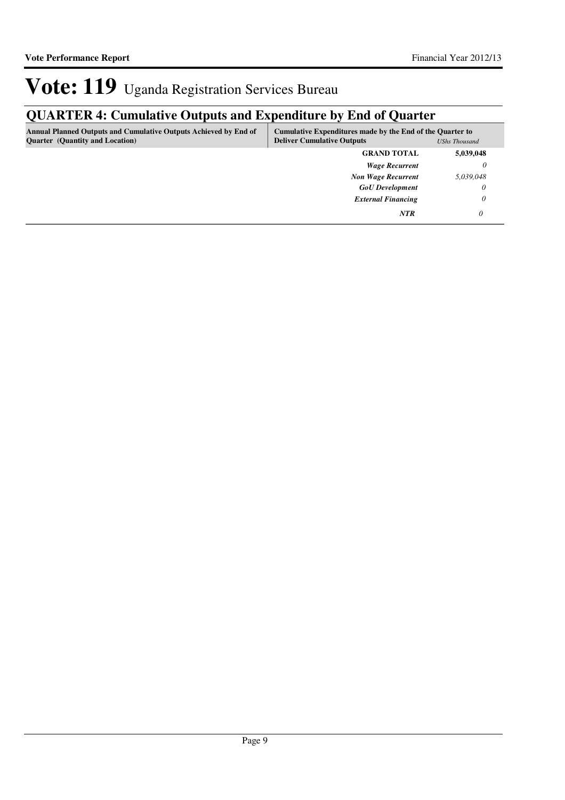# **QUARTER 4: Cumulative Outputs and Expenditure by End of Quarter**

| <b>Annual Planned Outputs and Cumulative Outputs Achieved by End of</b><br><b>Quarter</b> (Quantity and Location) | Cumulative Expenditures made by the End of the Quarter to<br><b>Deliver Cumulative Outputs</b> | <b>UShs Thousand</b> |
|-------------------------------------------------------------------------------------------------------------------|------------------------------------------------------------------------------------------------|----------------------|
|                                                                                                                   | <b>GRAND TOTAL</b>                                                                             | 5,039,048            |
|                                                                                                                   | <b>Wage Recurrent</b>                                                                          | 0                    |
|                                                                                                                   | <b>Non Wage Recurrent</b>                                                                      | 5,039,048            |
|                                                                                                                   | <b>GoU</b> Development                                                                         | 0                    |
|                                                                                                                   | <b>External Financing</b>                                                                      | 0                    |
|                                                                                                                   | <b>NTR</b>                                                                                     |                      |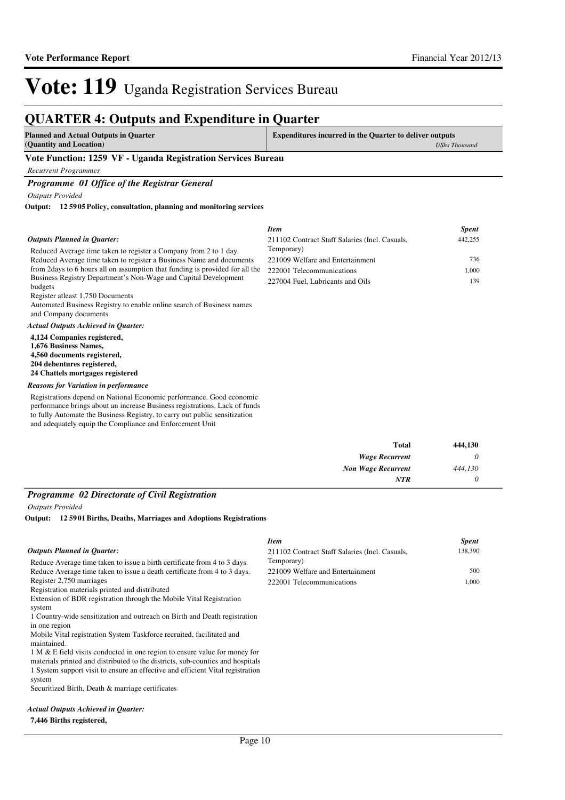## **QUARTER 4: Outputs and Expenditure in Quarter**

| <b>Planned and Actual Outputs in Quarter</b>                          | <b>Expenditures incurred in the Quarter to deliver outputs</b> |
|-----------------------------------------------------------------------|----------------------------------------------------------------|
| (Quantity and Location)                                               | <b>UShs Thousand</b>                                           |
| $\mathbf{A}$ and $\mathbf{B}$ and $\mathbf{B}$<br><b>TT . TT</b><br>. |                                                                |

### **Vote Function: 1259 VF - Uganda Registration Services Bureau**

*Recurrent Programmes*

*Programme 01 Office of the Registrar General*

*Outputs Provided*

**12 5905 Policy, consultation, planning and monitoring services Output:**

#### Reduced Average time taken to register a Company from 2 to 1 day. Reduced Average time taken to register a Business Name and documents from 2days to 6 hours all on assumption that funding is provided for all the Business Registry Department's Non-Wage and Capital Development budgets Register atleast 1,750 Documents Automated Business Registry to enable online search of Business names and Company documents **4,124 Companies registered, 1,676 Business Names, 4,560 documents registered, 204 debentures registered, 24 Chattels mortgages registered** *Actual Outputs Achieved in Quarter: Outputs Planned in Quarter:* Registrations depend on National Economic performance. Good economic performance brings about an increase Business registrations. Lack of funds *Reasons for Variation in performance Item Spent* 211102 Contract Staff Salaries (Incl. Casuals, Temporary) 442,255 221009 Welfare and Entertainment 736 222001 Telecommunications 1,000 227004 Fuel, Lubricants and Oils 139

to fully Automate the Business Registry, to carry out public sensitization and adequately equip the Compliance and Enforcement Unit

| 444,130 | <b>Total</b>              |
|---------|---------------------------|
|         | <b>Wage Recurrent</b>     |
| 444,130 | <b>Non Wage Recurrent</b> |
|         | <b>NTR</b>                |

### *Programme 02 Directorate of Civil Registration*

*Outputs Provided*

**12 5901 Births, Deaths, Marriages and Adoptions Registrations Output:**

#### Reduce Average time taken to issue a birth certificate from 4 to 3 days. Reduce Average time taken to issue a death certificate from 4 to 3 days. Register 2,750 marriages Registration materials printed and distributed Extension of BDR registration through the Mobile Vital Registration system 1 Country-wide sensitization and outreach on Birth and Death registration in one region Mobile Vital registration System Taskforce recruited, facilitated and maintained. 1 M & E field visits conducted in one region to ensure value for money for materials printed and distributed to the districts, sub-counties and hospitals 1 System support visit to ensure an effective and efficient Vital registration system Securitized Birth, Death & marriage certificates *Outputs Planned in Quarter: Item Spent* 211102 Contract Staff Salaries (Incl. Casuals, Temporary) 138,390 221009 Welfare and Entertainment 500 222001 Telecommunications 1,000

#### *Actual Outputs Achieved in Quarter:*

### **7,446 Births registered,**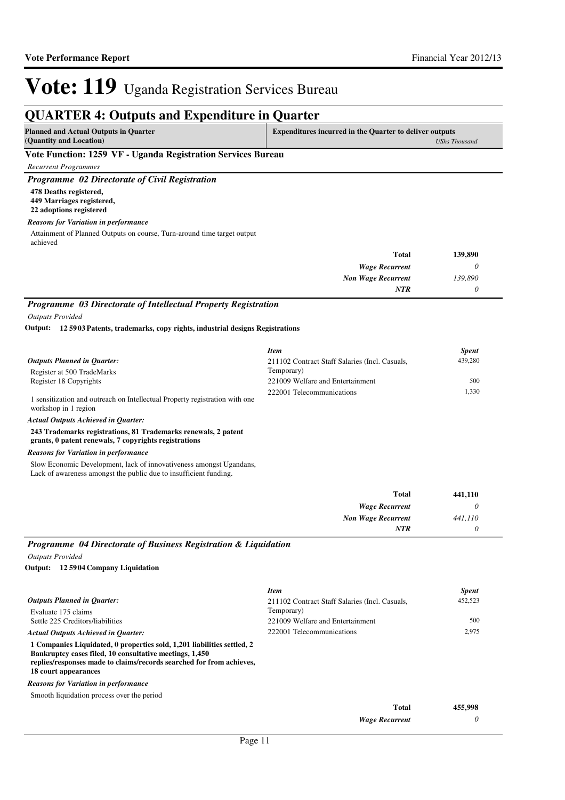## **QUARTER 4: Outputs and Expenditure in Quarter**

| (Quantity and Location)<br>UShs Thousand | <b>Planned and Actual Outputs in Quarter</b> | <b>Expenditures incurred in the Quarter to deliver outputs</b> |  |
|------------------------------------------|----------------------------------------------|----------------------------------------------------------------|--|
|                                          |                                              |                                                                |  |

### **Vote Function: 1259 VF - Uganda Registration Services Bureau**

*Recurrent Programmes*

*Programme 02 Directorate of Civil Registration*

**478 Deaths registered, 449 Marriages registered, 22 adoptions registered**

*Reasons for Variation in performance*

Attainment of Planned Outputs on course, Turn-around time target output achieved

| 139,890 | <b>Total</b>              |
|---------|---------------------------|
|         | <b>Wage Recurrent</b>     |
| 139,890 | <b>Non Wage Recurrent</b> |
|         | <b>NTR</b>                |

*Programme 03 Directorate of Intellectual Property Registration Outputs Provided*

**12 5903 Patents, trademarks, copy rights, industrial designs Registrations Output:**

|                                                                                                     | <b>Item</b>                                    | <b>Spent</b> |
|-----------------------------------------------------------------------------------------------------|------------------------------------------------|--------------|
| <b>Outputs Planned in Quarter:</b>                                                                  | 211102 Contract Staff Salaries (Incl. Casuals, | 439,280      |
| Register at 500 TradeMarks                                                                          | Temporary)                                     |              |
| Register 18 Copyrights                                                                              | 221009 Welfare and Entertainment               | 500          |
| 1 sensitization and outreach on Intellectual Property registration with one<br>workshop in 1 region | 222001 Telecommunications                      | 1.330        |

*Actual Outputs Achieved in Quarter:*

**243 Trademarks registrations, 81 Trademarks renewals, 2 patent** 

**grants, 0 patent renewals, 7 copyrights registrations**

### *Reasons for Variation in performance*

Slow Economic Development, lack of innovativeness amongst Ugandans, Lack of awareness amongst the public due to insufficient funding.

| <b>Total</b>              | 441,110 |
|---------------------------|---------|
| <b>Wage Recurrent</b>     |         |
| <b>Non Wage Recurrent</b> | 441,110 |
| <b>NTR</b>                |         |

### *Programme 04 Directorate of Business Registration & Liquidation*

*Outputs Provided*

#### **12 5904 Company Liquidation Output:**

|                                                                                                                                                                                                                                    | <b>Item</b>                                    | <b>Spent</b> |
|------------------------------------------------------------------------------------------------------------------------------------------------------------------------------------------------------------------------------------|------------------------------------------------|--------------|
| Outputs Planned in Ouarter:                                                                                                                                                                                                        | 211102 Contract Staff Salaries (Incl. Casuals, | 452,523      |
| Evaluate 175 claims                                                                                                                                                                                                                | Temporary)                                     |              |
| Settle 225 Creditors/liabilities                                                                                                                                                                                                   | 221009 Welfare and Entertainment               | 500          |
| <b>Actual Outputs Achieved in Ouarter:</b>                                                                                                                                                                                         | 222001 Telecommunications                      | 2,975        |
| 1 Companies Liquidated, 0 properties sold, 1,201 liabilities settled, 2<br>Bankruptcy cases filed, 10 consultative meetings, 1,450<br>replies/responses made to claims/records searched for from achieves,<br>18 court appearances |                                                |              |
| <b>Reasons for Variation in performance</b>                                                                                                                                                                                        |                                                |              |
| Smooth liquidation process over the period                                                                                                                                                                                         |                                                |              |
|                                                                                                                                                                                                                                    | <b>Total</b>                                   | 455,998      |
|                                                                                                                                                                                                                                    | <b>Wage Recurrent</b>                          | 0            |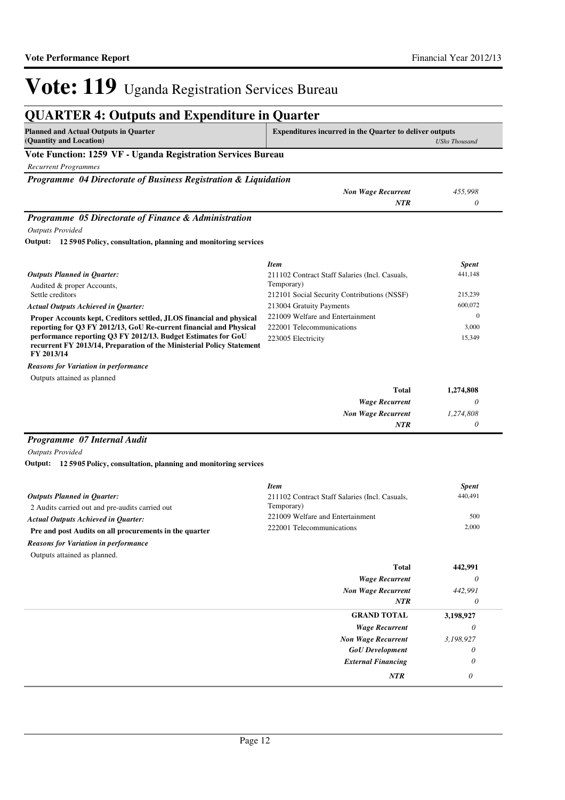| <b>QUARTER 4: Outputs and Expenditure in Quarter</b>                                |                                                                                        |              |
|-------------------------------------------------------------------------------------|----------------------------------------------------------------------------------------|--------------|
| <b>Planned and Actual Outputs in Quarter</b><br>(Quantity and Location)             | <b>Expenditures incurred in the Quarter to deliver outputs</b><br><b>UShs Thousand</b> |              |
| Vote Function: 1259 VF - Uganda Registration Services Bureau                        |                                                                                        |              |
| <b>Recurrent Programmes</b>                                                         |                                                                                        |              |
| <b>Programme</b> 04 Directorate of Business Registration & Liquidation              |                                                                                        |              |
|                                                                                     | <b>Non Wage Recurrent</b>                                                              | 455,998      |
|                                                                                     | NTR                                                                                    | 0            |
|                                                                                     |                                                                                        |              |
|                                                                                     | <b>Item</b>                                                                            | <b>Spent</b> |
| <b>Outputs Planned in Quarter:</b>                                                  | 211102 Contract Staff Salaries (Incl. Casuals,<br>Temporary)                           | 441,148      |
| Audited & proper Accounts,<br>Settle creditors                                      | 212101 Social Security Contributions (NSSF)                                            | 215,239      |
| <b>Actual Outputs Achieved in Quarter:</b>                                          | 213004 Gratuity Payments                                                               | 600,072      |
| Proper Accounts kept, Creditors settled, JLOS financial and physical                | 221009 Welfare and Entertainment                                                       | $\Omega$     |
| reporting for Q3 FY 2012/13, GoU Re-current financial and Physical                  | 222001 Telecommunications                                                              | 3,000        |
| performance reporting Q3 FY 2012/13. Budget Estimates for GoU                       | 223005 Electricity                                                                     | 15,349       |
| recurrent FY 2013/14, Preparation of the Ministerial Policy Statement<br>FY 2013/14 |                                                                                        |              |

Outputs attained as planned *Reasons for Variation in performance*

| <b>Total</b>              | 1,274,808 |
|---------------------------|-----------|
| <b>Wage Recurrent</b>     |           |
| <b>Non Wage Recurrent</b> | 1,274,808 |
| <b>NTR</b>                |           |

### *Programme 07 Internal Audit*

*Outputs Provided*

**12 5905 Policy, consultation, planning and monitoring services Output:**

|                                                        | <b>Item</b>                                    | <b>Spent</b> |
|--------------------------------------------------------|------------------------------------------------|--------------|
| <b>Outputs Planned in Ouarter:</b>                     | 211102 Contract Staff Salaries (Incl. Casuals, | 440,491      |
| 2 Audits carried out and pre-audits carried out        | Temporary)                                     |              |
| <b>Actual Outputs Achieved in Ouarter:</b>             | 221009 Welfare and Entertainment               | 500          |
| Pre and post Audits on all procurements in the quarter | 222001 Telecommunications                      | 2.000        |
| <b>Reasons for Variation in performance</b>            |                                                |              |

Outputs attained as planned.

| <b>Total</b>              | 442,991   |
|---------------------------|-----------|
| <b>Wage Recurrent</b>     | $\theta$  |
| <b>Non Wage Recurrent</b> | 442,991   |
| <b>NTR</b>                | 0         |
| <b>GRAND TOTAL</b>        | 3,198,927 |
| <b>Wage Recurrent</b>     | 0         |
| <b>Non Wage Recurrent</b> | 3,198,927 |
| <b>GoU</b> Development    | 0         |
| <b>External Financing</b> | $\theta$  |
| <b>NTR</b>                | 0         |